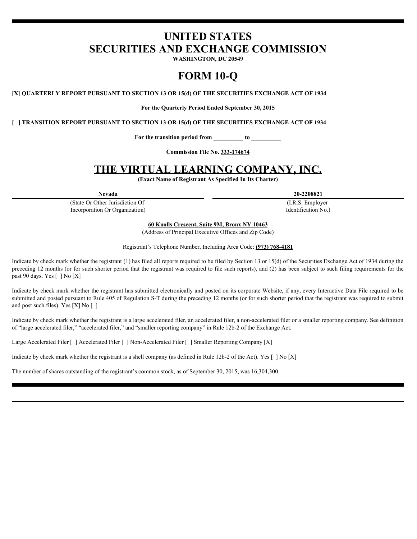# **UNITED STATES SECURITIES AND EXCHANGE COMMISSION**

**WASHINGTON, DC 20549**

# **FORM 10-Q**

**[X] QUARTERLY REPORT PURSUANT TO SECTION 13 OR 15(d) OF THE SECURITIES EXCHANGE ACT OF 1934**

**For the Quarterly Period Ended September 30, 2015**

**[ ] TRANSITION REPORT PURSUANT TO SECTION 13 OR 15(d) OF THE SECURITIES EXCHANGE ACT OF 1934**

**For the transition period from \_\_\_\_\_\_\_\_\_\_ to \_\_\_\_\_\_\_\_\_\_**

**Commission File No. 333-174674**

# **THE VIRTUAL LEARNING COMPANY, INC.**

**(Exact Name of Registrant As Specified In Its Charter)**

(State Or Other Jurisdiction Of Incorporation Or Organization)

**Nevada 20-2208821**

(I.R.S. Employer Identification No.)

**60 Knolls Crescent, Suite 9M, Bronx NY 10463**

(Address of Principal Executive Offices and Zip Code)

Registrant's Telephone Number, Including Area Code: **(973) 768-4181**

Indicate by check mark whether the registrant (1) has filed all reports required to be filed by Section 13 or 15(d) of the Securities Exchange Act of 1934 during the preceding 12 months (or for such shorter period that the registrant was required to file such reports), and (2) has been subject to such filing requirements for the past 90 days. Yes [ ] No [X]

Indicate by check mark whether the registrant has submitted electronically and posted on its corporate Website, if any, every Interactive Data File required to be submitted and posted pursuant to Rule 405 of Regulation S-T during the preceding 12 months (or for such shorter period that the registrant was required to submit and post such files). Yes [X] No [ ]

Indicate by check mark whether the registrant is a large accelerated filer, an accelerated filer, a non-accelerated filer or a smaller reporting company. See definition of "large accelerated filer," "accelerated filer," and "smaller reporting company" in Rule 12b-2 of the Exchange Act.

Large Accelerated Filer [ ] Accelerated Filer [ ] Non-Accelerated Filer [ ] Smaller Reporting Company [X]

Indicate by check mark whether the registrant is a shell company (as defined in Rule 12b-2 of the Act). Yes  $[ \ ]$  No  $[X]$ 

The number of shares outstanding of the registrant's common stock, as of September 30, 2015, was 16,304,300.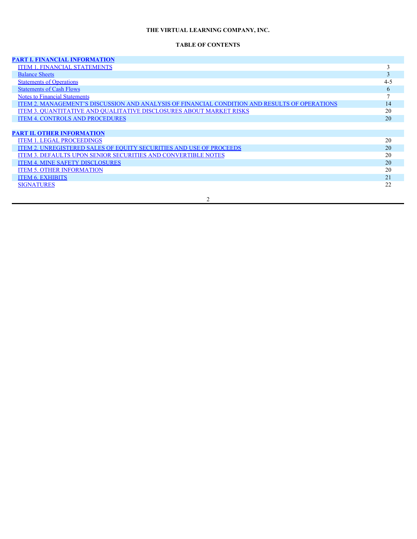# **TABLE OF CONTENTS**

# **[PART I. FINANCIAL INFORMATION](#page-2-0)**

| <b>ITEM 1. FINANCIAL STATEMENTS</b>                                                                  |         |
|------------------------------------------------------------------------------------------------------|---------|
| <b>Balance Sheets</b>                                                                                |         |
| <b>Statements of Operations</b>                                                                      | $4 - 5$ |
| <b>Statements of Cash Flows</b>                                                                      | 6       |
| <b>Notes to Financial Statements</b>                                                                 |         |
| <b>ITEM 2. MANAGEMENT'S DISCUSSION AND ANALYSIS OF FINANCIAL CONDITION AND RESULTS OF OPERATIONS</b> | 14      |
| ITEM 3. QUANTITATIVE AND QUALITATIVE DISCLOSURES ABOUT MARKET RISKS                                  | 20      |
| <b>ITEM 4. CONTROLS AND PROCEDURES</b>                                                               | 20      |
|                                                                                                      |         |
| <b>PART II. OTHER INFORMATION</b>                                                                    |         |
| <b>ITEM 1. LEGAL PROCEEDINGS</b>                                                                     | 20      |
| ITEM 2. UNREGISTERED SALES OF EQUITY SECURITIES AND USE OF PROCEEDS                                  | 20      |
| <b>ITEM 3. DEFAULTS UPON SENIOR SECURITIES AND CONVERTIBLE NOTES</b>                                 | 20      |
| <b>ITEM 4. MINE SAFETY DISCLOSURES</b>                                                               | 20      |
| <b>ITEM 5. OTHER INFORMATION</b>                                                                     | 20      |
| <b>ITEM 6. EXHIBITS</b>                                                                              | 21      |
| <b>SIGNATURES</b>                                                                                    | 22      |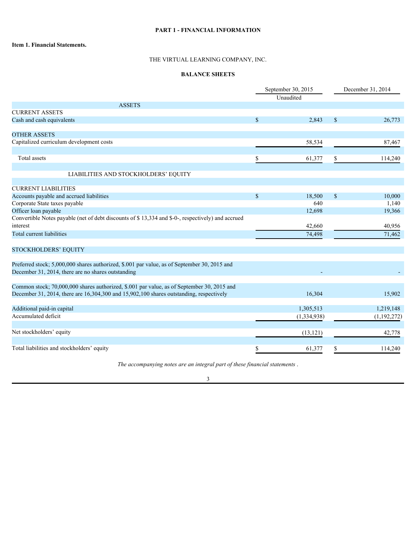# **PART 1 - FINANCIAL INFORMATION**

# <span id="page-2-1"></span><span id="page-2-0"></span>**Item 1. Financial Statements.**

# THE VIRTUAL LEARNING COMPANY, INC.

## **BALANCE SHEETS**

<span id="page-2-2"></span>

|                                                                                                   |             | September 30, 2015<br>Unaudited |              | December 31, 2014 |  |
|---------------------------------------------------------------------------------------------------|-------------|---------------------------------|--------------|-------------------|--|
| <b>ASSETS</b>                                                                                     |             |                                 |              |                   |  |
| <b>CURRENT ASSETS</b>                                                                             |             |                                 |              |                   |  |
| Cash and cash equivalents                                                                         | \$          | 2,843                           | $\mathbb{S}$ | 26,773            |  |
| <b>OTHER ASSETS</b>                                                                               |             |                                 |              |                   |  |
| Capitalized curriculum development costs                                                          |             |                                 |              |                   |  |
|                                                                                                   |             | 58,534                          |              | 87,467            |  |
| Total assets                                                                                      |             | 61,377                          |              | 114,240           |  |
| LIABILITIES AND STOCKHOLDERS' EQUITY                                                              |             |                                 |              |                   |  |
|                                                                                                   |             |                                 |              |                   |  |
| <b>CURRENT LIABILITIES</b>                                                                        |             |                                 |              |                   |  |
| Accounts payable and accrued liabilities                                                          | $\mathbf S$ | 18,500                          | \$           | 10,000            |  |
| Corporate State taxes payable                                                                     |             | 640                             |              | 1,140             |  |
| Officer loan payable                                                                              |             | 12,698                          |              | 19,366            |  |
| Convertible Notes payable (net of debt discounts of \$13,334 and \$-0-, respectively) and accrued |             |                                 |              |                   |  |
| interest                                                                                          |             | 42,660                          |              | 40,956            |  |
| Total current liabilities                                                                         |             | 74,498                          |              | 71,462            |  |
|                                                                                                   |             |                                 |              |                   |  |
| STOCKHOLDERS' EQUITY                                                                              |             |                                 |              |                   |  |
| Preferred stock; 5,000,000 shares authorized, \$.001 par value, as of September 30, 2015 and      |             |                                 |              |                   |  |
| December 31, 2014, there are no shares outstanding                                                |             |                                 |              |                   |  |
|                                                                                                   |             |                                 |              |                   |  |
| Common stock; 70,000,000 shares authorized, \$.001 par value, as of September 30, 2015 and        |             |                                 |              |                   |  |
| December 31, 2014, there are 16,304,300 and 15,902,100 shares outstanding, respectively           |             | 16,304                          |              | 15,902            |  |
| Additional paid-in capital                                                                        |             | 1,305,513                       |              | 1,219,148         |  |
| Accumulated deficit                                                                               |             | (1,334,938)                     |              | (1,192,272)       |  |
|                                                                                                   |             |                                 |              |                   |  |
| Net stockholders' equity                                                                          |             | (13, 121)                       |              | 42,778            |  |
| Total liabilities and stockholders' equity                                                        |             | 61,377                          |              | 114,240           |  |
|                                                                                                   |             |                                 |              |                   |  |

*The accompanying notes are an integral part of these financial statements* .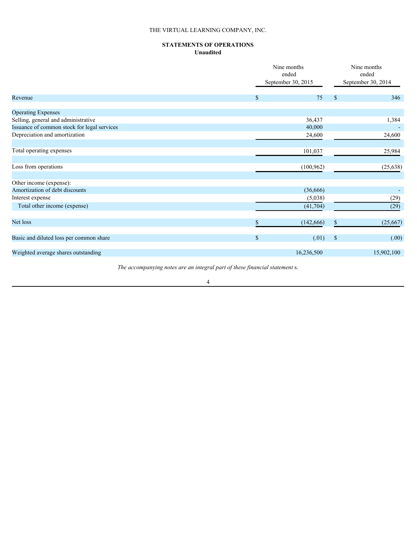# **STATEMENTS OF OPERATIONS Unaudited**

<span id="page-3-0"></span>

|                                             |              | Nine months<br>ended<br>September 30, 2015 |              | Nine months<br>ended<br>September 30, 2014 |  |
|---------------------------------------------|--------------|--------------------------------------------|--------------|--------------------------------------------|--|
| Revenue                                     | $\mathbb{S}$ | 75                                         | $\mathbb{S}$ | 346                                        |  |
| <b>Operating Expenses</b>                   |              |                                            |              |                                            |  |
| Selling, general and administrative         |              | 36,437                                     |              | 1,384                                      |  |
| Issuance of common stock for legal services |              | 40,000                                     |              |                                            |  |
| Depreciation and amortization               |              | 24,600                                     |              | 24,600                                     |  |
|                                             |              |                                            |              |                                            |  |
| Total operating expenses                    |              | 101,037                                    |              | 25,984                                     |  |
|                                             |              |                                            |              |                                            |  |
| Loss from operations                        |              | (100, 962)                                 |              | (25, 638)                                  |  |
|                                             |              |                                            |              |                                            |  |
| Other income (expense):                     |              |                                            |              |                                            |  |
| Amortization of debt discounts              |              | (36,666)                                   |              | $\overline{\phantom{a}}$                   |  |
| Interest expense                            |              | (5,038)                                    |              | (29)                                       |  |
| Total other income (expense)                |              | (41, 704)                                  |              | (29)                                       |  |
|                                             |              |                                            |              |                                            |  |
| Net loss                                    |              | (142, 666)                                 | S            | (25, 667)                                  |  |
|                                             |              |                                            |              |                                            |  |
| Basic and diluted loss per common share     | $\mathbb{S}$ | (.01)                                      | $\mathbb{S}$ | (.00)                                      |  |
|                                             |              |                                            |              |                                            |  |
| Weighted average shares outstanding         |              | 16,236,500                                 |              | 15,902,100                                 |  |

*The accompanying notes are an integral part of these financial statement* s.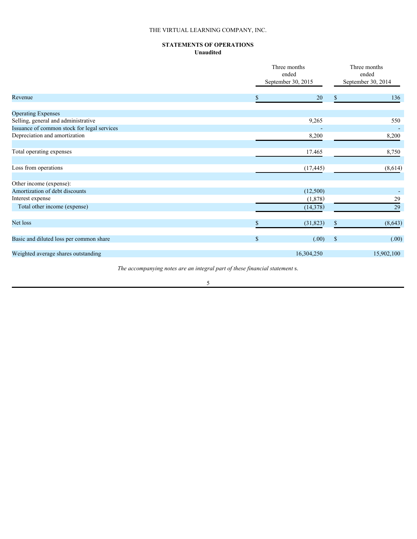# **STATEMENTS OF OPERATIONS Unaudited**

|                                             |             | Three months<br>ended<br>September 30, 2015 | Three months<br>ended<br>September 30, 2014 |  |
|---------------------------------------------|-------------|---------------------------------------------|---------------------------------------------|--|
| Revenue                                     |             | 20                                          | 136                                         |  |
| <b>Operating Expenses</b>                   |             |                                             |                                             |  |
| Selling, general and administrative         |             | 9,265                                       | 550                                         |  |
| Issuance of common stock for legal services |             |                                             | $\overline{\phantom{0}}$                    |  |
| Depreciation and amortization               |             | 8,200                                       | 8,200                                       |  |
|                                             |             |                                             |                                             |  |
| Total operating expenses                    |             | 17.465                                      | 8,750                                       |  |
|                                             |             |                                             |                                             |  |
| Loss from operations                        |             | (17, 445)                                   | (8,614)                                     |  |
|                                             |             |                                             |                                             |  |
| Other income (expense):                     |             |                                             |                                             |  |
| Amortization of debt discounts              |             | (12,500)                                    | $\overline{\phantom{a}}$                    |  |
| Interest expense                            |             | (1,878)                                     | 29                                          |  |
| Total other income (expense)                |             | (14, 378)                                   | 29                                          |  |
|                                             |             |                                             |                                             |  |
| Net loss                                    |             | (31, 823)                                   | (8,643)<br>Ъ                                |  |
|                                             |             |                                             |                                             |  |
| Basic and diluted loss per common share     | $\mathbf S$ | (.00)                                       | (.00)<br>$\sqrt{S}$                         |  |
|                                             |             |                                             |                                             |  |
| Weighted average shares outstanding         |             | 16,304,250                                  | 15,902,100                                  |  |
|                                             |             |                                             |                                             |  |

*The accompanying notes are an integral part of these financial statement* s.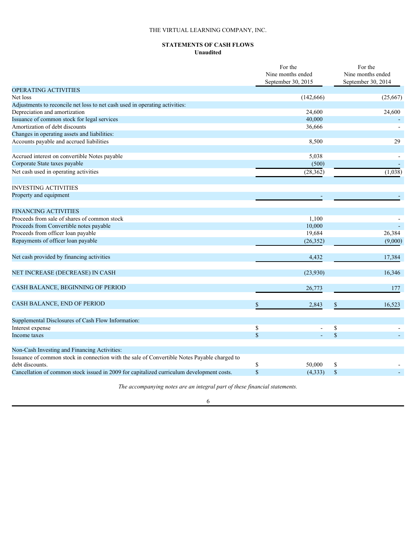# **STATEMENTS OF CASH FLOWS Unaudited**

<span id="page-5-0"></span>

|                                                                                              | For the<br>Nine months ended<br>September 30, 2015 | For the<br>Nine months ended<br>September 30, 2014 |
|----------------------------------------------------------------------------------------------|----------------------------------------------------|----------------------------------------------------|
| <b>OPERATING ACTIVITIES</b>                                                                  |                                                    |                                                    |
| Net loss                                                                                     | (142, 666)                                         | (25, 667)                                          |
| Adjustments to reconcile net loss to net cash used in operating activities:                  |                                                    |                                                    |
| Depreciation and amortization                                                                | 24,600                                             | 24,600                                             |
| Issuance of common stock for legal services                                                  | 40,000                                             |                                                    |
| Amortization of debt discounts                                                               |                                                    |                                                    |
|                                                                                              | 36,666                                             |                                                    |
| Changes in operating assets and liabilities:                                                 | 8,500                                              |                                                    |
| Accounts payable and accrued liabilities                                                     |                                                    | 29                                                 |
| Accrued interest on convertible Notes payable                                                | 5,038                                              |                                                    |
| Corporate State taxes payable                                                                | (500)                                              |                                                    |
| Net cash used in operating activities                                                        | (28, 362)                                          | (1,038)                                            |
|                                                                                              |                                                    |                                                    |
| <b>INVESTING ACTIVITIES</b>                                                                  |                                                    |                                                    |
| Property and equipment                                                                       |                                                    |                                                    |
|                                                                                              |                                                    |                                                    |
| <b>FINANCING ACTIVITIES</b>                                                                  |                                                    |                                                    |
| Proceeds from sale of shares of common stock                                                 | 1,100                                              |                                                    |
| Proceeds from Convertible notes payable                                                      | 10,000                                             |                                                    |
| Proceeds from officer loan payable                                                           | 19,684                                             | 26,384                                             |
| Repayments of officer loan payable                                                           | (26, 352)                                          | (9,000)                                            |
|                                                                                              |                                                    |                                                    |
| Net cash provided by financing activities                                                    | 4,432                                              | 17,384                                             |
|                                                                                              |                                                    |                                                    |
| NET INCREASE (DECREASE) IN CASH                                                              | (23,930)                                           | 16,346                                             |
|                                                                                              |                                                    |                                                    |
| CASH BALANCE, BEGINNING OF PERIOD                                                            | 26,773                                             | 177                                                |
|                                                                                              |                                                    |                                                    |
| CASH BALANCE, END OF PERIOD                                                                  | 2,843                                              | 16,523<br>S                                        |
|                                                                                              |                                                    |                                                    |
| Supplemental Disclosures of Cash Flow Information:                                           |                                                    |                                                    |
| Interest expense                                                                             | \$                                                 | \$                                                 |
| Income taxes                                                                                 | $\mathcal{S}$                                      | $\mathbf{\hat{s}}$                                 |
| Non-Cash Investing and Financing Activities:                                                 |                                                    |                                                    |
| Issuance of common stock in connection with the sale of Convertible Notes Payable charged to |                                                    |                                                    |
| debt discounts.                                                                              | \$<br>50,000                                       | <sup>\$</sup>                                      |
| Cancellation of common stock issued in 2009 for capitalized curriculum development costs.    | $\mathcal{S}$<br>(4, 333)                          | $\mathbb S$                                        |
|                                                                                              |                                                    |                                                    |

*The accompanying notes are an integral part of these financial statements.*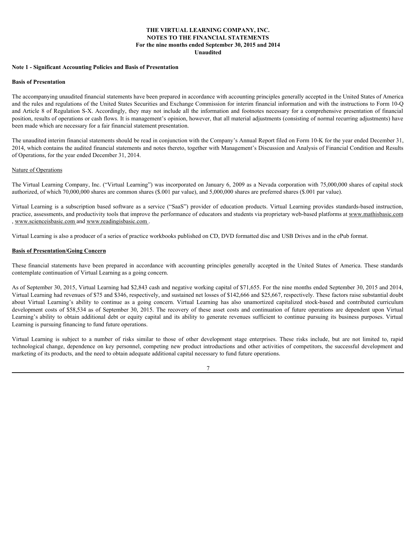### <span id="page-6-0"></span>**THE VIRTUAL LEARNING COMPANY, INC. NOTES TO THE FINANCIAL STATEMENTS For the nine months ended September 30, 2015 and 2014 Unaudited**

#### **Note 1 - Significant Accounting Policies and Basis of Presentation**

#### **Basis of Presentation**

The accompanying unaudited financial statements have been prepared in accordance with accounting principles generally accepted in the United States of America and the rules and regulations of the United States Securities and Exchange Commission for interim financial information and with the instructions to Form 10-Q and Article 8 of Regulation S-X. Accordingly, they may not include all the information and footnotes necessary for a comprehensive presentation of financial position, results of operations or cash flows. It is management's opinion, however, that all material adjustments (consisting of normal recurring adjustments) have been made which are necessary for a fair financial statement presentation. VIE VIRTUAL LEARNING COMPANY, INC.<br>
For the nine membric of HE FINANCHA STATEMENTS<br>
The multiple of Presentation<br>
Have of Presentation<br>
Have of Presentation<br>
Have of Presentation<br>
Have of Presentation<br>
Have of Presentation

The unaudited interim financial statements should be read in conjunction with the Company's Annual Report filed on Form 10-K for the year ended December 31, 2014, which contains the audited financial statements and notes thereto, together with Management's Discussion and Analysis of Financial Condition and Results of Operations, for the year ended December 31, 2014.

#### Nature of Operations

The Virtual Learning Company, Inc. ("Virtual Learning") was incorporated on January 6, 2009 as a Nevada corporation with 75,000,000 shares of capital stock authorized, of which 70,000,000 shares are common shares (\$.001 par value), and 5,000,000 shares are preferred shares (\$.001 par value).

practice, assessments, and productivity tools that improve the performance of educators and students via proprietary web-based platforms at www.mathisbasic.com , www.scienceisbasic.com and www.readingisbasic.com .

Virtual Learning is also a producer of a series of practice workbooks published on CD, DVD formatted disc and USB Drives and in the ePub format.

### **Basis of Presentation/Going Concern**

contemplate continuation of Virtual Learning as a going concern.

For the sine mass reduced the sine maske endoted Statements have the set and the statements that the statements have the statements that the statements the computer of the computer of the computer and the computer and the As of September 30, 2015, Virtual Learning had \$2,843 cash and negative working capital of \$71,655. For the nine months ended September 30, 2015 and 2014, Virtual Learning had revenues of \$75 and \$346, respectively, and sustained net losses of \$142,666 and \$25,667, respectively. These factors raise substantial doubt Their of Presentation<br>
The accompaning nandled funcion structure above the proposed in according principle price and the continue and the content<br>
and the contention of the United State Securities and Euchange Commission f The accompanying unadled funcial statements have been prepared in accordates with accounting pricelyles generally according that a collect a cost of costs and continue of the Character Contains of the United Montation and The accompanying mandfed function than be becomes the acceliance with ecconomic priori enter a debtive or America Companying the equity of the contents of Results and America SMA contents and its characteristic SV and Ame Learning is pursuing financing to fund future operations. positive, reads of Fepratrice to take those is increase present virtual process. The unadited attach interact to the subject the control of the similar states and the control of the subject field on Family Bower (Figure 1) then made which are necessary for a far functial satement presentation<br>The smoshed tancinal functions of a follow the result of companyies with blungement's Discussion and Analysis of Financial Condition and Results<br>2Discu

marketing of its products, and the need to obtain adequate additional capital necessary to fund future operations.

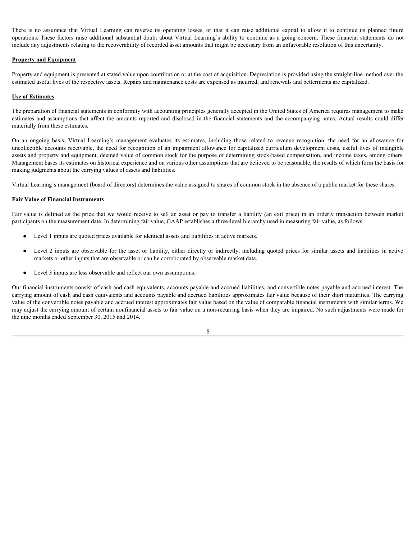There is no assurance that Virtual Learning can reverse its operating losses, or that it can raise additional capital to allow it to continue its planned future operations. These factors raise additional substantial doubt There is no assurance that Virtual Learning can reverse its operating losses, or that it can raise additional capital to allow it to continue its planned future operations. These factors raise additional substantial doubt include any adjustments relating to the recoverability of recorded asset amounts that might be necessary from an unfavorable resolution of this uncertainty.

### **Property and Equipment**

Property and equipment is presented at stated value upon contribution or at the cost of acquisition. Depreciation is provided using the straight-line method over the estimated useful lives of the respective assets. Repairs and maintenance costs are expensed as incurred, and renewals and betterments are capitalized.

### **Use of Estimates**

The preparation of financial statements in conformity with accounting principles generally accepted in the United States of America requires management to make materially from these estimates.

There is no assurance that Virtual Learning can reverse its operating losses, or that it can raise additional capital to allow it to continue its planned future<br>operations. These factors raise additional substantial doubt There is no assurance that Virtual Learning can reverse its operating losses, or that it can raise additional capital to allow it to continue its planned future operations. These factors raise additional substantial doubt uncollectible accounts receivable, the need for recognition of an impairment allowance for capitalized curriculum development costs, useful lives of intangible assets and property and equipment, deemed value of common stock for the purpose of determining stock-based compensation, and income taxes, among others. Management bases its estimates on historical experience and on various other assumptions that are believed to be reasonable, the results of which form the basis for making judgments about the carrying values of assets and liabilities. Fhere is no assume that Virtual Learning on revense its operating losses, or that it can raise additional capital is allow it to continue the price of the content in the based of price of the content in the line of the sel is in o same cannot that Uran Level 2 constants (somehold looks of the are additional collisions) constants the area of the actual constants of the actual constants of the asset of the state of the asset of the state of th

Virtual Learning's management (board of directors) determines the value assigned to shares of common stock in the absence of a public market for these shares.

### **Fair Value of Financial Instruments**

participants on the measurement date. In determining fair value, GAAP establishes a three-level hierarchy used in measuring fair value, as follows:

- Level 1 inputs are quoted prices available for identical assets and liabilities in active markets.
- markets or other inputs that are observable or can be corroborated by observable market data.
- Level 3 inputs are less observable and reflect our own assumptions.

Our financial instruments consist of cash and cash equivalents, accounts payable and accrued liabilities, and convertible notes payable and accrued interest. The carrying amount of cash and cash equivalents and accounts payable and accrued liabilities approximates fair value because of their short maturities. The carrying value of the convertible notes payable and accrued interest approximates fair value based on the value of comparable financial instruments with similar terms. We may adjust the carrying amount of certain nonfinancial assets to fair value on a non-recurring basis when they are impaired. No such adjustments were made for the nine months ended September 30, 2015 and 2014.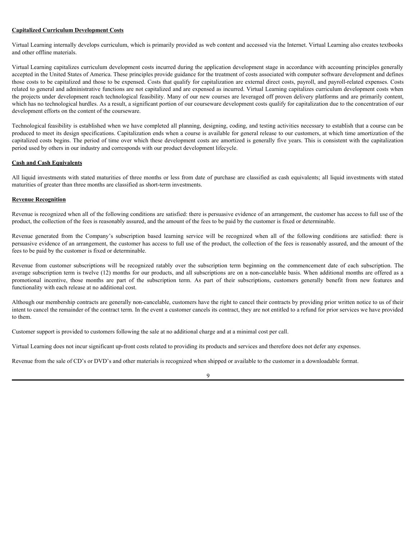### **Capitalized Curriculum Development Costs**

Virtual Learning internally develops curriculum, which is primarily provided as web content and accessed via the Internet. Virtual Learning also creates textbooks and other offline materials.

Virtual Learning capitalizes curriculum development costs incurred during the application development stage in accordance with accounting principles generally accepted in the United States of America. These principles provide guidance for the treatment of costs associated with computer software development and defines those costs to be capitalized and those to be expensed. Costs that qualify for capitalization are external direct costs, payroll, and payroll-related expenses. Costs related to general and administrative functions are not capitalized and are expensed as incurred. Virtual Learning capitalizes curriculum development costs when the projects under development reach technological feasibility. Many of our new courses are leveraged off proven delivery platforms and are primarily content, which has no technological hurdles. As a result, a significant portion of our courseware development costs qualify for capitalization due to the concentration of our development efforts on the content of the courseware. **Can half carefieldom** Development Conti<br>
Sympa Lemania is the company of the company of the company of the subscription development stage in according the subscription of the company of the company of the subscription is Vitual Farming interesting to controller, which is permuis provided as web under and ascosod via the homest like that contains a contains a contain a contain of the subscription of the subscription of the subscription of Vitual Lenning explosites: corriculum development conts incented during the splicistics development are contents are particulate the contents of the contents of the contents of the contents of the contents of the contents

Technological feasibility is established when we have completed all planning, designing, coding, and testing activities necessary to establish that a course can be produced to meet its design specifications. Capitalization ends when a course is available for general release to our customers, at which time amortization of the capitalized costs begins. The period of time over which these development costs are amortized is generally five years. This is consistent with the capitalization period used by others in our industry and corresponds with our product development lifecycle.

#### **Cash and Cash Equivalents**

All liquid investments with stated maturities of three months or less from date of purchase are classified as cash equivalents; all liquid investments with stated maturities of greater than three months are classified as short-term investments.

### **Revenue Recognition**

Revenue is recognized when all of the following conditions are satisfied: there is persuasive evidence of an arrangement, the customer has access to full use of the product, the collection of the fees is reasonably assured, and the amount of the fees to be paid by the customer is fixed or determinable.

persuasive evidence of an arrangement, the customer has access to full use of the product, the collection of the fees is reasonably assured, and the amount of the fees to be paid by the customer is fixed or determinable.

average subscription term is twelve (12) months for our products, and all subscriptions are on a non-cancelable basis. When additional months are offered as a functionality with each release at no additional cost.

Although our membership contracts are generally non-cancelable, customers have the right to cancel their contracts by providing prior written notice to us of their intent to cancel the remainder of the contract term. In the event a customer cancels its contract, they are not entitled to a refund for prior services we have provided to them.

Customer support is provided to customers following the sale at no additional charge and at a minimal cost per call.

Virtual Learning does not incur significant up-front costs related to providing its products and services and therefore does not defer any expenses.

Revenue from the sale of CD's or DVD's and other materials is recognized when shipped or available to the customer in a downloadable format.

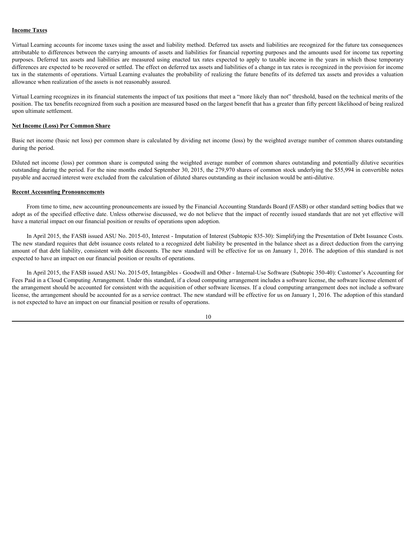#### **Income Taxes**

Virtual Learning accounts for income taxes using the asset and liability method. Deferred tax assets and liabilities are recognized for the future tax consequences attributable to differences between the carrying amounts of assets and liabilities for financial reporting purposes and the amounts used for income tax reporting **Income Taxes**<br>Virtual Learning accounts for income taxes using the asset and liability method. Deferred tax assets and liabilities are recognized for the future tax consequences<br>attributable to differences between the car differences are expected to be recovered or settled. The effect on deferred tax assets and liabilities of a change in tax rates is recognized in the provision for income tax in the statements of operations. Virtual Learning evaluates the probability of realizing the future benefits of its deferred tax assets and provides a valuation allowance when realization of the assets is not reasonably assured.

Virtual Learning recognizes in its financial statements the impact of tax positions that meet a "more likely than not" threshold, based on the technical merits of the position. The tax benefits recognized from such a position are measured based on the largest benefit that has a greater than fifty percent likelihood of being realized upon ultimate settlement.

# **Net Income (Loss) Per Common Share**

Basic net income (basic net loss) per common share is calculated by dividing net income (loss) by the weighted average number of common shares outstanding during the period.

Diluted net income (loss) per common share is computed using the weighted average number of common shares outstanding and potentially dilutive securities outstanding during the period. For the nine months ended September 30, 2015, the 279,970 shares of common stock underlying the \$55,994 in convertible notes payable and accrued interest were excluded from the calculation of diluted shares outstanding as their inclusion would be anti-dilutive.

#### **Recent Accounting Pronouncements**

From time to time, new accounting pronouncements are issued by the Financial Accounting Standards Board (FASB) or other standard setting bodies that we adopt as of the specified effective date. Unless otherwise discussed, we do not believe that the impact of recently issued standards that are not yet effective will have a material impact on our financial position or results of operations upon adoption.

In April 2015, the FASB issued ASU No. 2015-03, Interest - Imputation of Interest (Subtopic 835-30): Simplifying the Presentation of Debt Issuance Costs. The new standard requires that debt issuance costs related to a recognized debt liability be presented in the balance sheet as a direct deduction from the carrying amount of that debt liability, consistent with debt discounts. The new standard will be effective for us on January 1, 2016. The adoption of this standard is not expected to have an impact on our financial position or results of operations.

In April 2015, the FASB issued ASU No. 2015-05, Intangibles - Goodwill and Other - Internal-Use Software (Subtopic 350-40): Customer's Accounting for Fees Paid in a Cloud Computing Arrangement. Under this standard, if a cloud computing arrangement includes a software license, the software license element of the arrangement should be accounted for consistent with the acquisition of other software licenses. If a cloud computing arrangement does not include a software license, the arrangement should be accounted for as a service contract. The new standard will be effective for us on January 1, 2016. The adoption of this standard is not expected to have an impact on our financial position or results of operations.

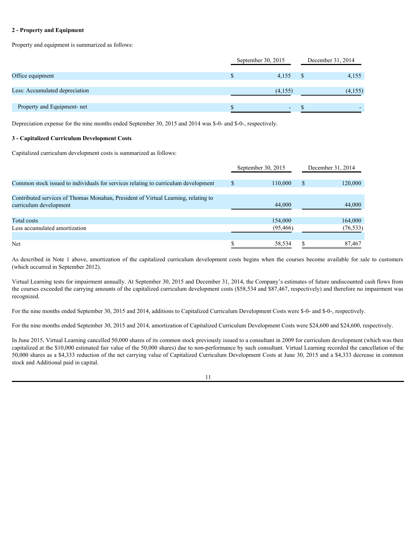### **2 - Property and Equipment**

|                                | September 30, 2015 |         | December 31, 2014 |         |
|--------------------------------|--------------------|---------|-------------------|---------|
| Office equipment               |                    | 4,155   |                   | 4,155   |
| Less: Accumulated depreciation |                    | (4,155) |                   | (4,155) |
| Property and Equipment- net    |                    | $\sim$  |                   |         |

# **3 - Capitalized Curriculum Development Costs**

| Property and equipment is summarized as follows:                                                                                                                                                                                                                                                                                              |    |                    |      |                   |
|-----------------------------------------------------------------------------------------------------------------------------------------------------------------------------------------------------------------------------------------------------------------------------------------------------------------------------------------------|----|--------------------|------|-------------------|
|                                                                                                                                                                                                                                                                                                                                               |    | September 30, 2015 |      | December 31, 2014 |
| Office equipment                                                                                                                                                                                                                                                                                                                              | -S | 4,155              | - \$ | 4,155             |
| Less: Accumulated depreciation                                                                                                                                                                                                                                                                                                                |    | (4,155)            |      | (4,155)           |
| Property and Equipment- net                                                                                                                                                                                                                                                                                                                   |    |                    |      |                   |
| Depreciation expense for the nine months ended September 30, 2015 and 2014 was \$-0- and \$-0-, respectively.                                                                                                                                                                                                                                 |    |                    |      |                   |
| 3 - Capitalized Curriculum Development Costs                                                                                                                                                                                                                                                                                                  |    |                    |      |                   |
| Capitalized curriculum development costs is summarized as follows:                                                                                                                                                                                                                                                                            |    |                    |      |                   |
|                                                                                                                                                                                                                                                                                                                                               |    | September 30, 2015 |      | December 31, 2014 |
| Common stock issued to individuals for services relating to curriculum development                                                                                                                                                                                                                                                            | -8 | 110,000            | -S   | 120,000           |
| Contributed services of Thomas Monahan, President of Virtual Learning, relating to<br>curriculum development                                                                                                                                                                                                                                  |    | 44,000             |      | 44,000            |
| Total costs                                                                                                                                                                                                                                                                                                                                   |    | 154,000            |      | 164,000           |
| Less accumulated amortization                                                                                                                                                                                                                                                                                                                 |    | (95, 466)          |      | (76, 533)         |
| Net                                                                                                                                                                                                                                                                                                                                           |    | 58,534             |      | 87,467            |
| As described in Note 1 above, amortization of the capitalized curriculum development costs begins when the courses become available for sale to customers<br>(which occurred in September 2012).                                                                                                                                              |    |                    |      |                   |
| Virtual Learning tests for impairment annually. At September 30, 2015 and December 31, 2014, the Company's estimates of future undiscounted cash flows from<br>the courses exceeded the carrying amounts of the capitalized curriculum development costs (\$58,534 and \$87,467, respectively) and therefore no impairment was<br>recognized. |    |                    |      |                   |
| For the nine months ended September 30, 2015 and 2014, additions to Capitalized Curriculum Development Costs were \$-0- and \$-0-, respectively.                                                                                                                                                                                              |    |                    |      |                   |

For the nine months ended September 30, 2015 and 2014, amortization of Capitalized Curriculum Development Costs were \$24,600 and \$24,600, respectively.

In June 2015, Virtual Learning cancelled 50,000 shares of its common stock previously issued to a consultant in 2009 for curriculum development (which was then capitalized at the \$10,000 estimated fair value of the 50,000 shares) due to non-performance by such consultant. Virtual Learning recorded the cancellation of the 50,000 shares as a \$4,333 reduction of the net carrying value of Capitalized Curriculum Development Costs at June 30, 2015 and a \$4,333 decrease in common stock and Additional paid in capital.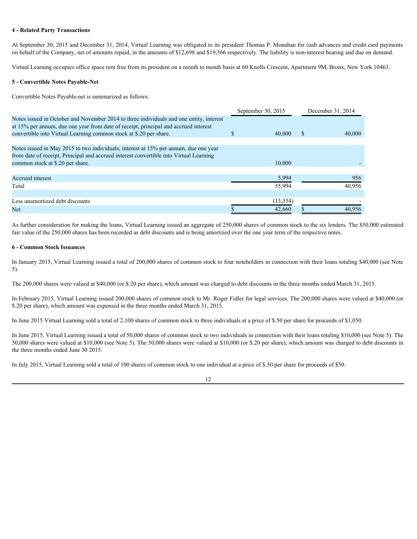### **4 - Related Party Transactions**

At September 30, 2015 and December 31, 2014, Virtual Learning was obligated to its president Thomas P. Monahan for cash advances and credit card payments on behalf of the Company, net of amounts repaid, in the amounts of \$12,698 and \$19,366 respectively. The liability is non-interest bearing and due on demand.

Virtual Learning occupies office space rent free from its president on a month to month basis at 60 Knolls Crescent, Apartment 9M, Bronx, New York 10463.

### **5 - Convertible Notes Payable-Net**

Convertible Notes Payable-net is summarized as follows:

|                                                                                                                                                                                                                    | September 30, 2015 |           | December 31, 2014 |
|--------------------------------------------------------------------------------------------------------------------------------------------------------------------------------------------------------------------|--------------------|-----------|-------------------|
| Notes issued in October and November 2014 to three individuals and one entity, interest<br>at 15% per annum, due one year from date of receipt, principal and accrued interest                                     |                    |           |                   |
| convertible into Virtual Learning common stock at \$.20 per share.                                                                                                                                                 |                    | 40,000    | 40,000            |
| Notes issued in May 2015 to two individuals, interest at 15% per annum, due one year<br>from date of receipt, Principal and accrued interest convertible into Virtual Learning<br>common stock at \$.20 per share. |                    | 10,000    |                   |
|                                                                                                                                                                                                                    |                    |           |                   |
| Accrued interest                                                                                                                                                                                                   |                    | 5,994     | 956               |
| Total                                                                                                                                                                                                              |                    | 55,994    | 40,956            |
|                                                                                                                                                                                                                    |                    |           |                   |
| Less unamortized debt discounts                                                                                                                                                                                    |                    | (13, 334) |                   |
| <b>Net</b>                                                                                                                                                                                                         |                    | 42,660    | 40,956            |

As further consideration for making the loans, Virtual Learning issued an aggregate of 250,000 shares of common stock to the six lenders. The \$50,000 estimated fair value of the 250,000 shares has been recorded as debt discounts and is being amortized over the one year term of the respective notes.

### **6 - Common Stock Issuances**

In January 2015, Virtual Learning issued a total of 200,000 shares of common stock to four noteholders in connection with their loans totaling \$40,000 (see Note 5).

The 200,000 shares were valued at \$40,000 (or \$.20 per share), which amount was charged to debt discounts in the three months ended March 31, 2015.

In February 2015, Virtual Learning issued 200,000 shares of common stock to Mr. Roger Fidler for legal services. The 200,000 shares were valued at \$40,000 (or \$.20 per share), which amount was expensed in the three months ended March 31, 2015.

In June 2015 Virtual Learning sold a total of 2,100 shares of common stock to three individuals at a price of \$.50 per share for proceeds of \$1,050.

In June 2015, Virtual Learning issued a total of 50,000 shares of common stock to two individuals in connection with their loans totaling \$10,000 (see Note 5). The 50,000 shares were valued at \$10,000 (see Note 5). The 50,000 shares were valued at \$10,000 (or \$.20 per share), which amount was charged to debt discounts in the three months ended June 30 2015.

In July 2015, Virtual Learning sold a total of 100 shares of common stock to one individual at a price of \$.50 per share for proceeds of \$50.

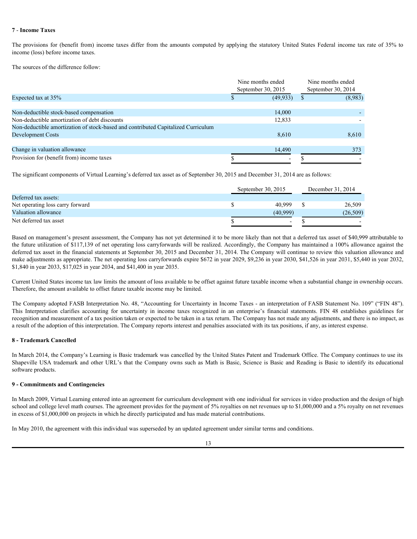#### **7** - **Income Taxes**

| <b>7 - Income Taxes</b>                                                                                                                                                                                                                                                                                                                                                                                                                                                                                                                                                                                                                                      |                    |           |                    |
|--------------------------------------------------------------------------------------------------------------------------------------------------------------------------------------------------------------------------------------------------------------------------------------------------------------------------------------------------------------------------------------------------------------------------------------------------------------------------------------------------------------------------------------------------------------------------------------------------------------------------------------------------------------|--------------------|-----------|--------------------|
| The provisions for (benefit from) income taxes differ from the amounts computed by applying the statutory United States Federal income tax rate of 35% to<br>income (loss) before income taxes.                                                                                                                                                                                                                                                                                                                                                                                                                                                              |                    |           |                    |
| The sources of the difference follow:                                                                                                                                                                                                                                                                                                                                                                                                                                                                                                                                                                                                                        |                    |           |                    |
|                                                                                                                                                                                                                                                                                                                                                                                                                                                                                                                                                                                                                                                              | Nine months ended  |           | Nine months ended  |
|                                                                                                                                                                                                                                                                                                                                                                                                                                                                                                                                                                                                                                                              | September 30, 2015 |           | September 30, 2014 |
| Expected tax at 35%                                                                                                                                                                                                                                                                                                                                                                                                                                                                                                                                                                                                                                          |                    | (49, 933) | (8,983)<br>S.      |
| Non-deductible stock-based compensation                                                                                                                                                                                                                                                                                                                                                                                                                                                                                                                                                                                                                      |                    | 14,000    |                    |
| Non-deductible amortization of debt discounts<br>Non-deductible amortization of stock-based and contributed Capitalized Curriculum                                                                                                                                                                                                                                                                                                                                                                                                                                                                                                                           |                    | 12,833    |                    |
| Development Costs                                                                                                                                                                                                                                                                                                                                                                                                                                                                                                                                                                                                                                            |                    | 8,610     | 8,610              |
| Change in valuation allowance                                                                                                                                                                                                                                                                                                                                                                                                                                                                                                                                                                                                                                |                    | 14,490    | 373                |
| Provision for (benefit from) income taxes                                                                                                                                                                                                                                                                                                                                                                                                                                                                                                                                                                                                                    |                    |           | <sup>\$</sup>      |
| The significant components of Virtual Learning's deferred tax asset as of September 30, 2015 and December 31, 2014 are as follows:                                                                                                                                                                                                                                                                                                                                                                                                                                                                                                                           |                    |           |                    |
|                                                                                                                                                                                                                                                                                                                                                                                                                                                                                                                                                                                                                                                              |                    |           |                    |
|                                                                                                                                                                                                                                                                                                                                                                                                                                                                                                                                                                                                                                                              |                    |           | December 31, 2014  |
|                                                                                                                                                                                                                                                                                                                                                                                                                                                                                                                                                                                                                                                              | September 30, 2015 |           |                    |
| Deferred tax assets:<br>Net operating loss carry forward                                                                                                                                                                                                                                                                                                                                                                                                                                                                                                                                                                                                     | -S                 | 40,999    | 26,509<br>- S      |
|                                                                                                                                                                                                                                                                                                                                                                                                                                                                                                                                                                                                                                                              |                    | (40,999)  | (26,509)           |
| Valuation allowance<br>Net deferred tax asset<br>Based on management's present assessment, the Company has not yet determined it to be more likely than not that a deferred tax asset of \$40,999 attributable to<br>the future utilization of \$117,139 of net operating loss carryforwards will be realized. Accordingly, the Company has maintained a 100% allowance against the                                                                                                                                                                                                                                                                          | S                  | $\sim$    | <sup>S</sup>       |
| deferred tax asset in the financial statements at September 30, 2015 and December 31, 2014. The Company will continue to review this valuation allowance and<br>make adjustments as appropriate. The net operating loss carryforwards expire \$672 in year 2029, \$9,236 in year 2030, \$41,526 in year 2031, \$5,440 in year 2032,<br>\$1,840 in year 2033, \$17,025 in year 2034, and \$41,400 in year 2035.                                                                                                                                                                                                                                               |                    |           |                    |
| Current United States income tax law limits the amount of loss available to be offset against future taxable income when a substantial change in ownership occurs.<br>Therefore, the amount available to offset future taxable income may be limited.                                                                                                                                                                                                                                                                                                                                                                                                        |                    |           |                    |
| The Company adopted FASB Interpretation No. 48, "Accounting for Uncertainty in Income Taxes - an interpretation of FASB Statement No. 109" ("FIN 48").<br>This Interpretation clarifies accounting for uncertainty in income taxes recognized in an enterprise's financial statements. FIN 48 establishes guidelines for<br>recognition and measurement of a tax position taken or expected to be taken in a tax return. The Company has not made any adjustments, and there is no impact, as<br>a result of the adoption of this interpretation. The Company reports interest and penalties associated with its tax positions, if any, as interest expense. |                    |           |                    |
| 8 - Trademark Cancelled                                                                                                                                                                                                                                                                                                                                                                                                                                                                                                                                                                                                                                      |                    |           |                    |

| Change in valuation allowance                                                                                                                                                                                                                                                                                                                                                                                                                                                                                                                                                                                                                                                                                                                                                                                                                                                                                                                                                                                                                                                                                                                                                                                                                                                                                                           | 14,490             |    | 373               |
|-----------------------------------------------------------------------------------------------------------------------------------------------------------------------------------------------------------------------------------------------------------------------------------------------------------------------------------------------------------------------------------------------------------------------------------------------------------------------------------------------------------------------------------------------------------------------------------------------------------------------------------------------------------------------------------------------------------------------------------------------------------------------------------------------------------------------------------------------------------------------------------------------------------------------------------------------------------------------------------------------------------------------------------------------------------------------------------------------------------------------------------------------------------------------------------------------------------------------------------------------------------------------------------------------------------------------------------------|--------------------|----|-------------------|
| Provision for (benefit from) income taxes                                                                                                                                                                                                                                                                                                                                                                                                                                                                                                                                                                                                                                                                                                                                                                                                                                                                                                                                                                                                                                                                                                                                                                                                                                                                                               |                    |    |                   |
| The significant components of Virtual Learning's deferred tax asset as of September 30, 2015 and December 31, 2014 are as follows:                                                                                                                                                                                                                                                                                                                                                                                                                                                                                                                                                                                                                                                                                                                                                                                                                                                                                                                                                                                                                                                                                                                                                                                                      |                    |    |                   |
|                                                                                                                                                                                                                                                                                                                                                                                                                                                                                                                                                                                                                                                                                                                                                                                                                                                                                                                                                                                                                                                                                                                                                                                                                                                                                                                                         | September 30, 2015 |    | December 31, 2014 |
| Deferred tax assets:                                                                                                                                                                                                                                                                                                                                                                                                                                                                                                                                                                                                                                                                                                                                                                                                                                                                                                                                                                                                                                                                                                                                                                                                                                                                                                                    |                    |    |                   |
| Net operating loss carry forward                                                                                                                                                                                                                                                                                                                                                                                                                                                                                                                                                                                                                                                                                                                                                                                                                                                                                                                                                                                                                                                                                                                                                                                                                                                                                                        | 40,999             | -S | 26,509            |
| Valuation allowance                                                                                                                                                                                                                                                                                                                                                                                                                                                                                                                                                                                                                                                                                                                                                                                                                                                                                                                                                                                                                                                                                                                                                                                                                                                                                                                     | (40,999)           |    | (26, 509)         |
| Net deferred tax asset                                                                                                                                                                                                                                                                                                                                                                                                                                                                                                                                                                                                                                                                                                                                                                                                                                                                                                                                                                                                                                                                                                                                                                                                                                                                                                                  |                    |    |                   |
| deferred tax asset in the financial statements at September 30, 2015 and December 31, 2014. The Company will continue to review this valuation allowance and<br>make adjustments as appropriate. The net operating loss carryforwards expire \$672 in year 2029, \$9,236 in year 2030, \$41,526 in year 2031, \$5,440 in year 2032,<br>\$1,840 in year 2033, \$17,025 in year 2034, and \$41,400 in year 2035.<br>Current United States income tax law limits the amount of loss available to be offset against future taxable income when a substantial change in ownership occurs.<br>Therefore, the amount available to offset future taxable income may be limited.<br>The Company adopted FASB Interpretation No. 48, "Accounting for Uncertainty in Income Taxes - an interpretation of FASB Statement No. 109" ("FIN 48").<br>This Interpretation clarifies accounting for uncertainty in income taxes recognized in an enterprise's financial statements. FIN 48 establishes guidelines for<br>recognition and measurement of a tax position taken or expected to be taken in a tax return. The Company has not made any adjustments, and there is no impact, as<br>a result of the adoption of this interpretation. The Company reports interest and penalties associated with its tax positions, if any, as interest expense. |                    |    |                   |
| 8 - Trademark Cancelled                                                                                                                                                                                                                                                                                                                                                                                                                                                                                                                                                                                                                                                                                                                                                                                                                                                                                                                                                                                                                                                                                                                                                                                                                                                                                                                 |                    |    |                   |
| In March 2014, the Company's Learning is Basic trademark was cancelled by the United States Patent and Trademark Office. The Company continues to use its<br>Shapeville USA trademark and other URL's that the Company owns such as Math is Basic, Science is Basic and Reading is Basic to identify its educational<br>software products.                                                                                                                                                                                                                                                                                                                                                                                                                                                                                                                                                                                                                                                                                                                                                                                                                                                                                                                                                                                              |                    |    |                   |
| 9 - Commitments and Contingencies                                                                                                                                                                                                                                                                                                                                                                                                                                                                                                                                                                                                                                                                                                                                                                                                                                                                                                                                                                                                                                                                                                                                                                                                                                                                                                       |                    |    |                   |
| In March 2009, Virtual Learning entered into an agreement for curriculum development with one individual for services in video production and the design of high<br>school and college level math courses. The agreement provides for the payment of 5% royalties on net revenues up to \$1,000,000 and a 5% royalty on net revenues<br>in excess of \$1,000,000 on projects in which he directly participated and has made material contributions.                                                                                                                                                                                                                                                                                                                                                                                                                                                                                                                                                                                                                                                                                                                                                                                                                                                                                     |                    |    |                   |

#### **8 - Trademark Cancelled**

#### **9 - Commitments and Contingencies**

In May 2010, the agreement with this individual was superseded by an updated agreement under similar terms and conditions.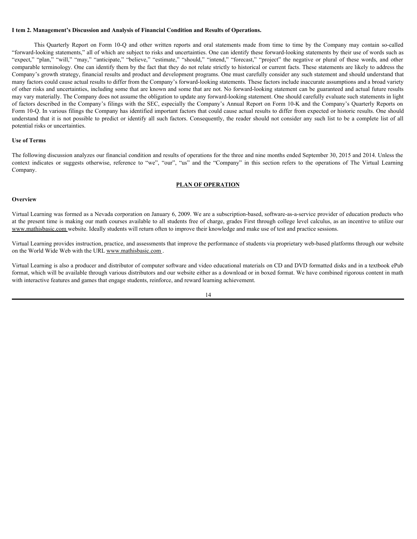#### <span id="page-13-0"></span>**I tem 2. Management's Discussion and Analysis of Financial Condition and Results of Operations.**

**Management's Discussion and Analysis of Financial Condition and Results of Operations.**<br>This Quarterly Report on Form 10-Q and other written reports and oral statements made from time to time by the Company may contain so "forward-looking statements," all of which are subject to risks and uncertainties. One can identify these forward-looking statements by their use of words such as I tem 2. Management's Discussion and Analysis of Financial Condition and Results of Operations.<br>
This Quarterly Report on Form 10-Q and other written reports and oral statements made from time to time by the Company may co comparable terminology. One can identify them by the fact that they do not relate strictly to historical or current facts. These statements are likely to address the Company's growth strategy, financial results and product and development programs. One must carefully consider any such statement and should understand that many factors could cause actual results to differ from the Company's forward-looking statements. These factors include inaccurate assumptions and a broad variety of other risks and uncertainties, including some that are known and some that are not. No forward-looking statement can be guaranteed and actual future results may vary materially. The Company does not assume the obligation to update any forward-looking statement. One should carefully evaluate such statements in light of factors described in the Company's filings with the SEC, especially the Company's Annual Report on Form 10-K and the Company's Quarterly Reports on Form 10-Q. In various filings the Company has identified important factors that could cause actual results to differ from expected or historic results. One should understand that it is not possible to predict or identify all such factors. Consequently, the reader should not consider any such list to be a complete list of all potential risks or uncertainties. **Leon 2. Management's Discussion and Analysis of Financial Condition and Results of Operations.**<br>
This Quarterly Report on Form 10-0 and other written reports and one datements made from time to time by the Company may co

#### **Use of Terms**

The following discussion analyzes our financial condition and results of operations for the three and nine months ended September 30, 2015 and 2014. Unless the Company.

#### **PLAN OF OPERATION**

#### **Overview Overview** *Overview*

Virtual Learning was formed as a Nevada corporation on January 6, 2009. We are a subscription-based, software-as-a-service provider of education products who at the present time is making our math courses available to all students free of charge, grades First through college level calculus, as an incentive to utilize our www.mathisbasic.com website. Ideally students will return often to improve their knowledge and make use of test and practice sessions.

Virtual Learning provides instruction, practice, and assessments that improve the performance of students via proprietary web-based platforms through our website on the World Wide Web with the URL www.mathisbasic.com .

Virtual Learning is also a producer and distributor of computer software and video educational materials on CD and DVD formatted disks and in a textbook ePub format, which will be available through various distributors and our website either as a download or in boxed format. We have combined rigorous content in math with interactive features and games that engage students, reinforce, and reward learning achievement.

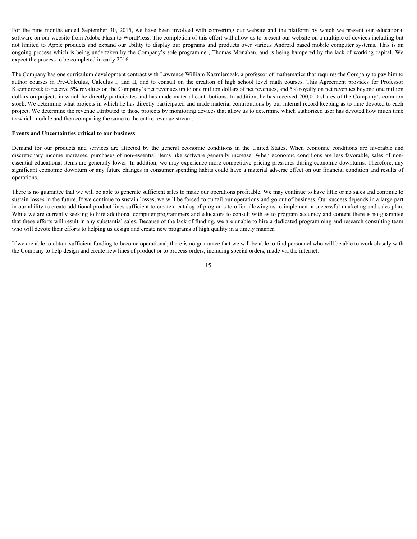For the nine months ended September 30, 2015, we have been involved with converting our website and the platform by which we present our educational software on our website from Adobe Flash to WordPress. The completion of software on our website from Adobe Flash to WordPress. The completion of this effort will allow us to present our website on a multiple of devices including but For the nine months ended September 30, 2015, we have been involved with converting our website and the platform by which we present our educational software on our website from Adobe Flash to WordPress. The completion of ongoing process which is being undertaken by the Company's sole programmer, Thomas Monahan, and is being hampered by the lack of working capital. We expect the process to be completed in early 2016.

The Company has one curriculum development contract with Lawrence William Kazmierczak, a professor of mathematics that requires the Company to pay him to For the nine months ended September 30, 2015, we have been involved with converting our website and the platform by which we present our educational software on our website from Adobe Flash to WordPress. The completion of Kazmierczak to receive 5% royalties on the Company's net revenues up to one million dollars of net revenues, and 5% royalty on net revenues beyond one million dollars on projects in which he directly participates and has made material contributions. In addition, he has received 200,000 shares of the Company's common stock. We determine what projects in which he has directly participated and made material contributions by our internal record keeping as to time devoted to each project. We determine the revenue attributed to those projects by monitoring devices that allow us to determine which authorized user has devoted how much time to which module and then comparing the same to the entire revenue stream. For the nine months ended September 30, 2015, we have been involved with converting our website and the platform by which we present our educational software on run way to be reducted to NordPress including profess and pro For the nine months ended September 30, 2015, we have been involved with converting our website and the platform by which we present our educational<br>ashware on our website from dadder Fiash in WordPress. The completion of

#### **Events and Uncertainties critical to our business**

essential educational items are generally lower. In addition, we may experience more competitive pricing pressures during economic downturns. Therefore, any significant economic downturn or any future changes in consumer spending habits could have a material adverse effect on our financial condition and results of operations.

There is no guarantee that we will be able to generate sufficient sales to make our operations profitable. We may continue to have little or no sales and continue to sustain losses in the future. If we continue to sustain losses, we will be forced to curtail our operations and go out of business. Our success depends in a large part in our ability to create additional product lines sufficient to create a catalog of programs to offer allowing us to implement a successful marketing and sales plan. While we are currently seeking to hire additional computer programmers and educators to consult with as to program accuracy and content there is no guarantee that these efforts will result in any substantial sales. Because of the lack of funding, we are unable to hire a dedicated programming and research consulting team who will devote their efforts to helping us design and create new programs of high quality in a timely manner.

If we are able to obtain sufficient funding to become operational, there is no guarantee that we will be able to find personnel who will be able to work closely with the Company to help design and create new lines of product or to process orders, including special orders, made via the internet.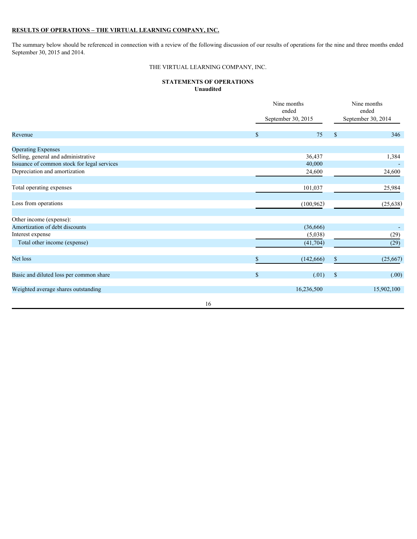# **RESULTS OF OPERATIONS – THE VIRTUAL LEARNING COMPANY, INC.**

The summary below should be referenced in connection with a review of the following discussion of our results of operations for the nine and three months ended September 30, 2015 and 2014.

# THE VIRTUAL LEARNING COMPANY, INC.

# **STATEMENTS OF OPERATIONS**

**Unaudited**

|                                             |    |               | Nine months<br>ended<br>September 30, 2015 |              | Nine months<br>ended<br>September 30, 2014 |
|---------------------------------------------|----|---------------|--------------------------------------------|--------------|--------------------------------------------|
| Revenue                                     |    | $\mathbb{S}$  | 75                                         | $\mathbb{S}$ | 346                                        |
| <b>Operating Expenses</b>                   |    |               |                                            |              |                                            |
| Selling, general and administrative         |    |               | 36,437                                     |              | 1,384                                      |
| Issuance of common stock for legal services |    |               | 40,000                                     |              |                                            |
| Depreciation and amortization               |    |               | 24,600                                     |              | 24,600                                     |
| Total operating expenses                    |    |               | 101,037                                    |              | 25,984                                     |
| Loss from operations                        |    |               | (100, 962)                                 |              | (25, 638)                                  |
| Other income (expense):                     |    |               |                                            |              |                                            |
| Amortization of debt discounts              |    |               | (36,666)                                   |              |                                            |
| Interest expense                            |    |               | (5,038)                                    |              | (29)                                       |
| Total other income (expense)                |    |               | (41,704)                                   |              | (29)                                       |
| Net loss                                    |    |               | (142, 666)                                 | S.           | (25, 667)                                  |
| Basic and diluted loss per common share     |    | $\mathcal{S}$ | (.01)                                      | $\mathbf S$  | (.00)                                      |
| Weighted average shares outstanding         |    |               | 16,236,500                                 |              | 15,902,100                                 |
|                                             | 16 |               |                                            |              |                                            |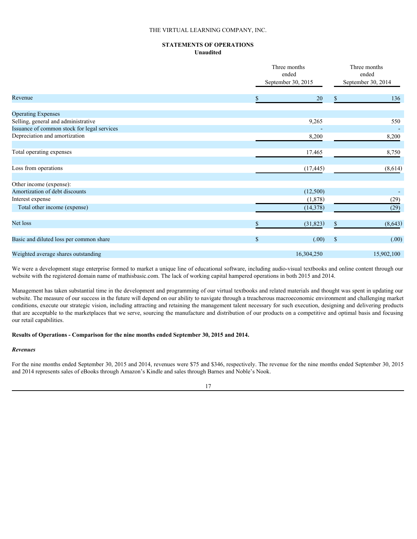## **STATEMENTS OF OPERATIONS Unaudited**

|                                             |              | Three months<br>ended<br>September 30, 2015 | Three months<br>ended<br>September 30, 2014 |            |  |
|---------------------------------------------|--------------|---------------------------------------------|---------------------------------------------|------------|--|
| Revenue                                     |              | 20                                          |                                             | 136        |  |
|                                             |              |                                             |                                             |            |  |
| <b>Operating Expenses</b>                   |              |                                             |                                             |            |  |
| Selling, general and administrative         |              | 9,265                                       |                                             | 550        |  |
| Issuance of common stock for legal services |              |                                             |                                             |            |  |
| Depreciation and amortization               |              | 8,200                                       |                                             | 8,200      |  |
| Total operating expenses                    |              | 17.465                                      |                                             | 8,750      |  |
|                                             |              |                                             |                                             |            |  |
| Loss from operations                        |              | (17, 445)                                   |                                             | (8,614)    |  |
| Other income (expense):                     |              |                                             |                                             |            |  |
| Amortization of debt discounts              |              | (12,500)                                    |                                             | ٠          |  |
| Interest expense                            |              | (1,878)                                     |                                             | (29)       |  |
| Total other income (expense)                |              | (14, 378)                                   |                                             | (29)       |  |
|                                             |              |                                             |                                             |            |  |
| Net loss                                    |              | (31, 823)                                   | S                                           | (8, 643)   |  |
| Basic and diluted loss per common share     | $\mathbb{S}$ | (.00)                                       | $\mathbb{S}$                                | (.00)      |  |
|                                             |              |                                             |                                             |            |  |
| Weighted average shares outstanding         |              | 16,304,250                                  |                                             | 15,902,100 |  |

We were a development stage enterprise formed to market a unique line of educational software, including audio-visual textbooks and online content through our website with the registered domain name of mathisbasic.com. The lack of working capital hampered operations in both 2015 and 2014.

Management has taken substantial time in the development and programming of our virtual textbooks and related materials and thought was spent in updating our website. The measure of our success in the future will depend on our ability to navigate through a treacherous macroeconomic environment and challenging market conditions, execute our strategic vision, including attracting and retaining the management talent necessary for such execution, designing and delivering products that are acceptable to the marketplaces that we serve, sourcing the manufacture and distribution of our products on a competitive and optimal basis and focusing our retail capabilities.

### **Results of Operations - Comparison for the nine months ended September 30, 2015 and 2014.**

#### *Revenues*

For the nine months ended September 30, 2015 and 2014, revenues were \$75 and \$346, respectively. The revenue for the nine months ended September 30, 2015 and 2014 represents sales of eBooks through Amazon's Kindle and sales through Barnes and Noble's Nook.

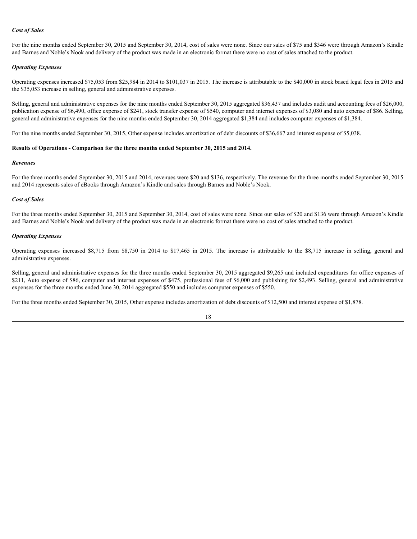#### *Cost of Sales*

For the nine months ended September 30, 2015 and September 30, 2014, cost of sales were none. Since our sales of \$75 and \$346 were through Amazon's Kindle and Barnes and Noble's Nook and delivery of the product was made in an electronic format there were no cost of sales attached to the product.

#### *Operating Expenses*

Operating expenses increased \$75,053 from \$25,984 in 2014 to \$101,037 in 2015. The increase is attributable to the \$40,000 in stock based legal fees in 2015 and the \$35,053 increase in selling, general and administrative expenses.

Selling, general and administrative expenses for the nine months ended September 30, 2015 aggregated \$36,437 and includes audit and accounting fees of \$26,000, publication expense of \$6,490, office expense of \$241, stock transfer expense of \$540, computer and internet expenses of \$3,080 and auto expense of \$86. Selling, general and administrative expenses for the nine months ended September 30, 2014 aggregated \$1,384 and includes computer expenses of \$1,384. Cost of Sales<br>Cast of saiso months coded September 30, 2015 and September 30, 2014, cost of sales were none. Since our saiso of 575 and 5450 since the reduced and the set of the increase of the increase of the increase to

For the nine months ended September 30, 2015, Other expense includes amortization of debt discounts of \$36,667 and interest expense of \$5,038.

#### **Results of Operations - Comparison for the three months ended September 30, 2015 and 2014.**

#### *Revenues*

For the three months ended September 30, 2015 and 2014, revenues were \$20 and \$136, respectively. The revenue for the three months ended September 30, 2015 and 2014 represents sales of eBooks through Amazon's Kindle and sales through Barnes and Noble's Nook.

#### *Cost of Sales*

For the three months ended September 30, 2015 and September 30, 2014, cost of sales were none. Since our sales of \$20 and \$136 were through Amazon's Kindle and Barnes and Noble's Nook and delivery of the product was made in an electronic format there were no cost of sales attached to the product.

#### *Operating Expenses*

administrative expenses.

Selling, general and administrative expenses for the three months ended September 30, 2015 aggregated \$9,265 and included expenditures for office expenses of \$211, Auto expense of \$86, computer and internet expenses of \$475, professional fees of \$6,000 and publishing for \$2,493. Selling, general and administrative expenses for the three months ended June 30, 2014 aggregated \$550 and includes computer expenses of \$550.

For the three months ended September 30, 2015, Other expense includes amortization of debt discounts of \$12,500 and interest expense of \$1,878.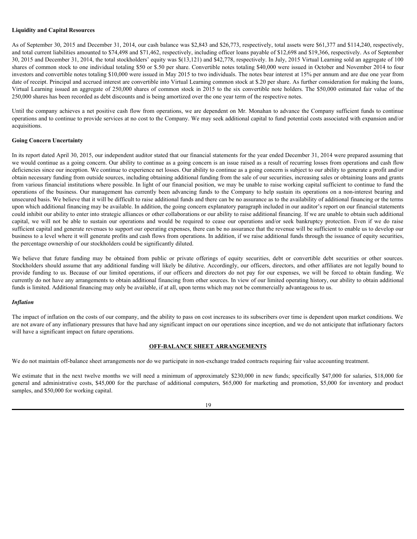#### **Liquidity and Capital Resources**

As of September 30, 2015 and December 31, 2014, our cash balance was \$2,843 and \$26,773, respectively, total assets were \$61,377 and \$114,240, respectively, and total current liabilities amounted to \$74,498 and \$71,462, respectively, including officer loans payable of \$12,698 and \$19,366, respectively. As of September 30, 2015 and December 31, 2014, the total stockholders' equity was \$(13,121) and \$42,778, respectively. In July, 2015 Virtual Learning sold an aggregate of 100 shares of common stock to one individual totaling \$50 or \$.50 per share. Convertible notes totaling \$40,000 were issued in October and November 2014 to four investors and convertible notes totaling \$10,000 were issued in May 2015 to two individuals. The notes bear interest at 15% per annum and are due one year from date of receipt. Principal and accrued interest are convertible into Virtual Learning common stock at \$.20 per share. As further consideration for making the loans, Virtual Learning issued an aggregate of 250,000 shares of common stock in 2015 to the six convertible note holders. The \$50,000 estimated fair value of the 250,000 shares has been recorded as debt discounts and is being amortized over the one year term of the respective notes.

Until the company achieves a net positive cash flow from operations, we are dependent on Mr. Monahan to advance the Company sufficient funds to continue operations and to continue to provide services at no cost to the Company. We may seek additional capital to fund potential costs associated with expansion and/or acquisitions.

#### **Going Concern Uncertainty**

In its report dated April 30, 2015, our independent auditor stated that our financial statements for the year ended December 31, 2014 were prepared assuming that we would continue as a going concern. Our ability to continue as a going concern is an issue raised as a result of recurring losses from operations and cash flow deficiencies since our inception. We continue to experience net losses. Our ability to continue as a going concern is subject to our ability to generate a profit and/or obtain necessary funding from outside sources, including obtaining additional funding from the sale of our securities, increasing sales or obtaining loans and grants from various financial institutions where possible. In light of our financial position, we may be unable to raise working capital sufficient to continue to fund the **I** ispiritiv, and Capital Resources<br>As of Septenber 31, 2014, our cash balance was \$2.843 and \$2.0773, respectively, total assets were \$61.377 and \$11.4240, respectively,<br>and iola current limiting anomato to 574.498 and \$ unsecured basis. We believe that it will be difficult to raise additional funds and there can be no assurance as to the availability of additional financing or the terms upon which additional financing may be available. In addition, the going concern explanatory paragraph included in our auditor's report on our financial statements could inhibit our ability to enter into strategic alliances or other collaborations or our ability to raise additional financing. If we are unable to obtain such additional Liquidity and Capital Resources<br>As of Septenbee 30, 2015 and December 31, 2014, our cash balance was \$2,943 and 526,773, respectively, used assets were \$81,377 and \$11,240, respectively.<br>And solar cannot lablance amounts sufficient capital and generate revenues to support our operating expenses, there can be no assurance that the revenue will be sufficient to enable us to develop our business to a level where it will generate profits and cash flows from operations. In addition, if we raise additional funds through the issuance of equity securities, the percentage ownership of our stockholders could be significantly diluted. As of September 30, 2015 and December 31, 2014, our cash balance was \$2,843 and \$56,773, respectively, notal assets were \$61,377 and \$1,4240, respectively, and convertible an sound of exceptively. Also the convertible an provide their two methods to 2408 set 371.8 Applies to 2408 set 371.0 and 542.7 respectively in allow 2015 set 5 of the provide the state of our other hands to the state of our control in the state of our control in the s We us treped that Approximately one content that in the next model with the system ends of Precisine 3120 and with the content of the system and December 3120 and the system of the system of the system of a minimum of expe we some consideration of a general content of the bits in costs, our administrative via the system content is a result of the method in a properties of the formula properties of the formula properties of the formula proper

Stockholders should assume that any additional funding will likely be dilutive. Accordingly, our officers, directors, and other affiliates are not legally bound to currently do not have any arrangements to obtain additional financing from other sources. In view of our limited operating history, our ability to obtain additional funds is limited. Additional financing may only be available, if at all, upon terms which may not be commercially advantageous to us.

#### *Inflation*

The impact of inflation on the costs of our company, and the ability to pass on cost increases to its subscribers over time is dependent upon market conditions. We are not aware of any inflationary pressures that have had any significant impact on our operations since inception, and we do not anticipate that inflationary factors will have a significant impact on future operations.

#### **OFF-BALANCE SHEET ARRANGEMENTS**

We do not maintain off-balance sheet arrangements nor do we participate in non-exchange traded contracts requiring fair value accounting treatment.

samples, and \$50,000 for working capital.

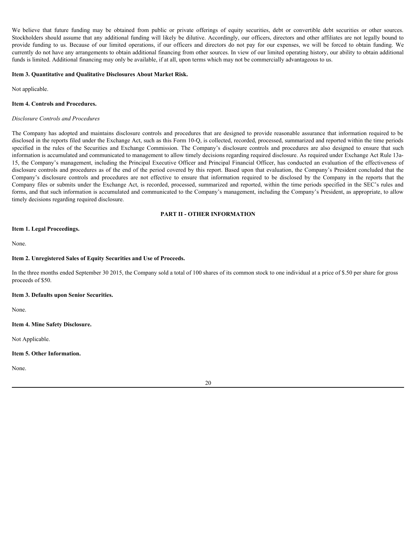We believe that future funding may be obtained from public or private offerings of equity securities, debt or convertible debt securities or other sources.<br>Stockholders should assume that any additional funding will likely Stockholders should assume that any additional funding will likely be dilutive. Accordingly, our officers, directors and other affiliates are not legally bound to We believe that future funding may be obtained from public or private offerings of equity securities, debt or convertible debt securities or other sources.<br>Stockholders should assume that any additional funding will likely currently do not have any arrangements to obtain additional financing from other sources. In view of our limited operating history, our ability to obtain additional funds is limited. Additional financing may only be available, if at all, upon terms which may not be commercially advantageous to us.

#### <span id="page-19-0"></span>**Item 3. Quantitative and Qualitative Disclosures About Market Risk.**

Not applicable.

#### <span id="page-19-1"></span>**Item 4. Controls and Procedures.**

#### *Disclosure Controls and Procedures*

The Company has adopted and maintains disclosure controls and procedures that are designed to provide reasonable assurance that information required to be disclosed in the reports filed under the Exchange Act, such as this Form 10-Q, is collected, recorded, processed, summarized and reported within the time periods We believe that future funding may be obtained from public or private offerings of equity securities, debt or convertible debt securities or other sources.<br>Specified der should assume that any additional furthcompactified information is accumulated and communicated to management to allow timely decisions regarding required disclosure. As required under Exchange Act Rule 13a-15, the Company's management, including the Principal Executive Officer and Principal Financial Officer, has conducted an evaluation of the effectiveness of disclosure controls and procedures as of the end of the period covered by this report. Based upon that evaluation, the Company's President concluded that the We believe that these funding may be obtained from public or private offerings of equity securities, show to convertible dobt securities or endivative procedures show through controllers, information funding that interval Company files or submits under the Exchange Act, is recorded, processed, summarized and reported, within the time periods specified in the SEC's rules and forms, and that such information is accumulated and communicated to the Company's management, including the Company's President, as appropriate, to allow timely decisions regarding required disclosure.

### **PART II - OTHER INFORMATION**

#### <span id="page-19-3"></span><span id="page-19-2"></span>**Item 1. Legal Proceedings.**

None.

#### <span id="page-19-4"></span>**Item 2. Unregistered Sales of Equity Securities and Use of Proceeds.**

In the three months ended September 30 2015, the Company sold a total of 100 shares of its common stock to one individual at a price of \$.50 per share for gross proceeds of \$50.

#### <span id="page-19-5"></span>**Item 3. Defaults upon Senior Securities.**

None.

#### <span id="page-19-6"></span>**Item 4. Mine Safety Disclosure.**

Not Applicable.

#### <span id="page-19-7"></span>**Item 5. Other Information.**

None.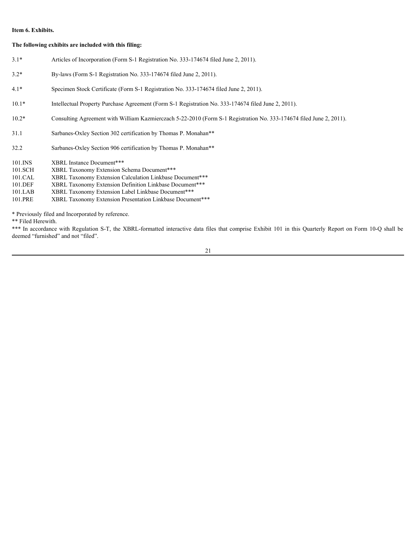### <span id="page-20-0"></span>**Item 6. Exhibits.**

#### **The following exhibits are included with this filing:**

- 3.1\* Articles of Incorporation (Form S-1 Registration No. 333-174674 filed June 2, 2011).
- 3.2\* By-laws (Form S-1 Registration No. 333-174674 filed June 2, 2011).
- 4.1\* Specimen Stock Certificate (Form S-1 Registration No. 333-174674 filed June 2, 2011).
- 10.1\* Intellectual Property Purchase Agreement (Form S-1 Registration No. 333-174674 filed June 2, 2011).
- 10.2\* Consulting Agreement with William Kazmierczach 5-22-2010 (Form S-1 Registration No. 333-174674 filed June 2, 2011).
- 31.1 Sarbanes-Oxley Section 302 certification by Thomas P. Monahan\*\*
- 32.2 Sarbanes-Oxley Section 906 certification by Thomas P. Monahan\*\*
- 101.INS XBRL Instance Document\*\*\*
- 101.SCH XBRL Taxonomy Extension Schema Document\*\*\*
- 101.CAL XBRL Taxonomy Extension Calculation Linkbase Document\*\*\*
- 101.DEF XBRL Taxonomy Extension Definition Linkbase Document\*\*\*
- 101.LAB XBRL Taxonomy Extension Label Linkbase Document\*\*\*
- 101.PRE XBRL Taxonomy Extension Presentation Linkbase Document\*\*\*

\* Previously filed and Incorporated by reference.

\*\* Filed Herewith.

Hern 6. Exhibits.<br>
The following exhibits are included with this flinge:<br>  $\frac{1}{2}$ <br>  $\frac{1}{2}$ <br>  $\frac{1}{2}$ <br>  $\frac{1}{2}$ <br>  $\frac{1}{2}$ <br>  $\frac{1}{2}$ <br>  $\frac{1}{2}$ <br>  $\frac{1}{2}$ <br>  $\frac{1}{2}$ <br>  $\frac{1}{2}$ <br>  $\frac{1}{2}$ <br>  $\frac{1}{2}$ <br>  $\frac{1}{2}$ <br>  $\frac{$ deemed "furnished" and not "filed".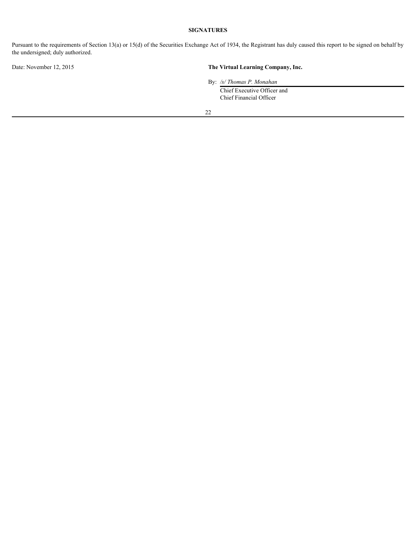# **SIGNATURES**

<span id="page-21-0"></span>Pursuant to the requirements of Section 13(a) or 15(d) of the Securities Exchange Act of 1934, the Registrant has duly caused this report to be signed on behalf by the undersigned; duly authorized.

# Date: November 12, 2015 **The Virtual Learning Company, Inc.**

By: */s/ Thomas P. Monahan*

Chief Executive Officer and Chief Financial Officer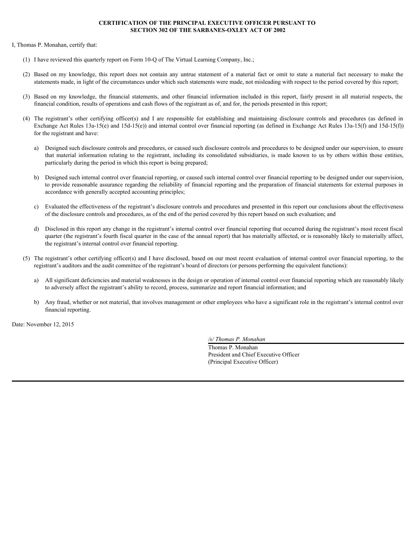### **CERTIFICATION OF THE PRINCIPAL EXECUTIVE OFFICER PURSUANT TO SECTION 302 OF THE SARBANES-OXLEY ACT OF 2002**

I, Thomas P. Monahan, certify that:

- (1) I have reviewed this quarterly report on Form 10-Q of The Virtual Learning Company, Inc.;
- statements made, in light of the circumstances under which such statements were made, not misleading with respect to the period covered by this report;
- financial condition, results of operations and cash flows of the registrant as of, and for, the periods presented in this report;
- **ERTIFICATION OF THE PRINCIPAL EXECUTIVE OFFICER PURSUANT TO**<br> **SECTION 302 OF THE SARBANES-OXLEY ACT OF 2002**<br>
(1) I have reviewed this quarterly report on Form 10-Q of The Virtual Learning Company, Inc.;<br>
(2) Based on my **CERTIFICATION OF THE PRINCIPAL EXECUTIVE OFFICER PURSUANT TO**<br> **SECTION 302 OF THE SARBANES-OXLEY ACT OF 2002**<br>
(1) I have reviewed this quarterly report on Form 10-Q of The Virtual Learning Company, Inc.;<br>
(2) Based on m CERTIFICATION OF THE PRINCIPAL EXECUTIVE OFFICER PURSUANT TO<br>
(1) Thave reviewed this quarterly report on Form 10-Q of The Virtual Learning Company, Inc.;<br>
(2) Based on my knowledge, this report does not contain any untrue Exchange Act Rules 13a-15(e) and 15d-15(e)) and internal control over financial reporting (as defined in Exchange Act Rules 13a-15(f) and 15d-15(f)) for the registrant and have:
	- a) Designed such disclosure controls and procedures, or caused such disclosure controls and procedures to be designed under our supervision, to ensure particularly during the period in which this report is being prepared;
	- **CERTIFICATION OF THE PRINCIPAL EXECUTIVE OFFICER PURSUANT TO**<br>
	SHOW Monahan, certify that:<br>
	reveivened this quarterly report on Form 10-Q of The Virual Learning Company, Inc.:<br>
	the methy show better in the state content b) Designed such internal control over financial reporting, or caused such internal control over financial reporting to be designed under our supervision, to provide reasonable assurance regarding the reliability of financial reporting and the preparation of financial statements for external purposes in accordance with generally accepted accounting principles;
	- c) Evaluated the effectiveness of the registrant's disclosure controls and procedures and presented in this report our conclusions about the effectiveness of the disclosure controls and procedures, as of the end of the period covered by this report based on such evaluation; and
	- d) Disclosed in this report any change in the registrant's internal control over financial reporting that occurred during the registrant's most recent fiscal quarter (the registrant's fourth fiscal quarter in the case of the annual report) that has materially affected, or is reasonably likely to materially affect, the registrant's internal control over financial reporting.
- (5) The registrant's other certifying officer(s) and I have disclosed, based on our most recent evaluation of internal control over financial reporting, to the registrant's auditors and the audit committee of the registrant's board of directors (or persons performing the equivalent functions):
	- a) All significant deficiencies and material weaknesses in the design or operation of internal control over financial reporting which are reasonably likely to adversely affect the registrant's ability to record, process, summarize and report financial information; and
	- b) Any fraud, whether or not material, that involves management or other employees who have a significant role in the registrant's internal control over financial reporting.

Date: November 12, 2015

*/s/ Thomas P. Monahan*

Thomas P. Monahan President and Chief Executive Officer (Principal Executive Officer)